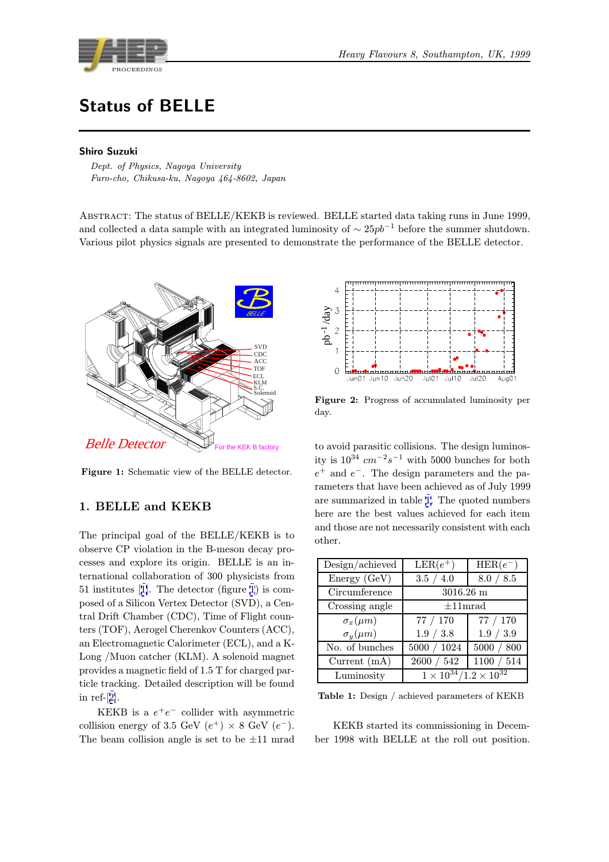<span id="page-0-0"></span>

# Status of BELLE

## Shiro Suzuki

Personale Chilese Inc. Nagoya 161.0  $F_{\rm eff}$  cho, cho, cho, cho,  $F_{\rm eff}$  and  $F_{\rm eff}$  and  $F_{\rm eff}$ 

ABSTRACT: The status of BELLE/KEKB is reviewed. BELLE started data taking runs in June 1999, and collected a data sample with an integrated luminosity of  $\sim 25pb^{-1}$  before the summer shutdown. Various pilot physics signals are presented to demonstrate the performance of the BELLE detector.



Figure 1: Schematic view of the BELLE detector.

# 1. BELLE and KEKB

The principal goal of the BELLE/KEKB is to observe CP violation in the B-meson decay processes and explore its origin. BELLE is an international collaboration of 300 physicists from 51 institutes [1]. The detector (figure 1) is composed of a Silicon Vertex Detector (SVD), a Central Drift Chamber (CDC), Time of Flight counters (TOF), Aerogel Cherenkov Counters (ACC), an Electroma[gn](#page-4-0)etic Calorimeter (ECL), and a K-Long /Muon catcher (KLM). A solenoid magnet provides a magnetic field of 1.5 T for charged particle tracking. Detailed description will be found in ref-[2].

KEKB is a  $e^+e^-$  collider with asymmetric collision energy of 3.5 GeV  $(e^+) \times 8$  GeV  $(e^-)$ . The b[ea](#page-4-0)m collision angle is set to be  $\pm 11$  mrad



Figure 2: Progress of accumulated luminosity per day.

to avoid parasitic collisions. The design luminosity is  $10^{34}$  cm<sup>-2</sup>s<sup>-1</sup> with 5000 bunches for both  $e^+$  and  $e^-$ . The design parameters and the parameters that have been achieved as of July 1999 are summarized in table 1. The quoted numbers here are the best values achieved for each item and those are not necessarily consistent with each other.

| Design/achieved   | $LER(e^+)$                            | $HER(e^-)$ |
|-------------------|---------------------------------------|------------|
| Energy (GeV)      | 3.5 / 4.0                             | 8.0 / 8.5  |
| Circumference     | $3016.26 \text{ m}$                   |            |
| Crossing angle    | $\pm 11$ mrad                         |            |
| $\sigma_x(\mu m)$ | 77 / 170                              | 77 / 170   |
| $\sigma_y(\mu m)$ | 1.9 / 3.8                             | 1.9 / 3.9  |
| No. of bunches    | 5000 / 1024                           | 5000 / 800 |
| Current $(mA)$    | 2600 / 542                            | 1100 / 514 |
| Luminosity        | $1 \times 10^{34}/1.2 \times 10^{32}$ |            |

Table 1: Design / achieved parameters of KEKB

KEKB started its commissioning in December 1998 with BELLE at the roll out position.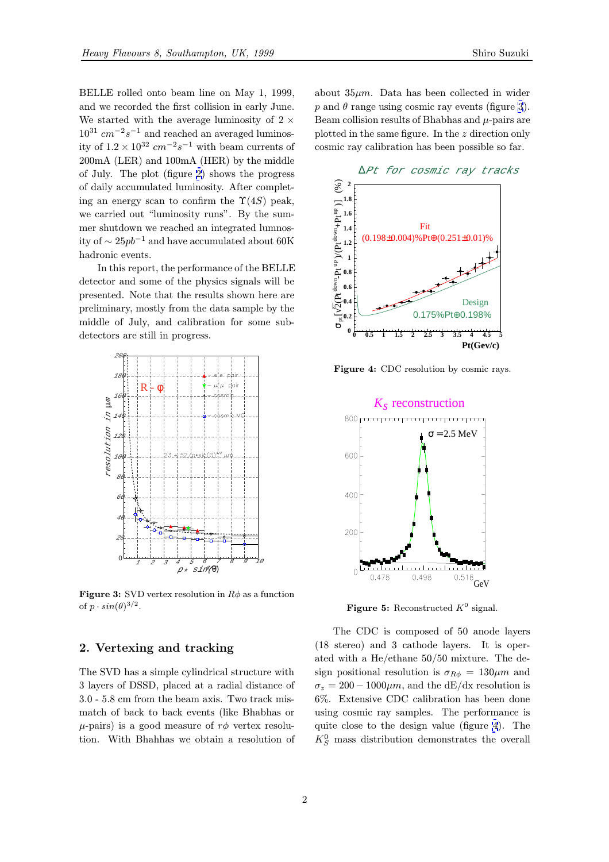<span id="page-1-0"></span>BELLE rolled onto beam line on May 1, 1999, and we recorded the first collision in early June. We started with the average luminosity of  $2 \times$  $10^{31}\ cm^{-2}s^{-1}$  and reached an averaged luminosity of  $1.2 \times 10^{32}$  cm<sup>-2</sup>s<sup>-1</sup> with beam currents of 200mA (LER) and 100mA (HER) by the middle of July. The plot (figure 2) shows the progress of daily accumulated luminosity. After completing an energy scan to confirm the  $\Upsilon(4S)$  peak, we carried out "luminosity runs". By the summer shutdown we reached [a](#page-0-0)n integrated lumnosity of  $\sim 25 pb^{-1}$  and have accumulated about 60K hadronic events.

In this report, the performance of the BELLE detector and some of the physics signals will be presented. Note that the results shown here are preliminary, mostly from the data sample by the middle of July, and calibration for some subdetectors are still in progress.



**Figure 3:** SVD vertex resolution in  $R\phi$  as a function of  $p \cdot sin(\theta)^{3/2}$ .

# 2. Vertexing and tracking

The SVD has a simple cylindrical structure with 3 layers of DSSD, placed at a radial distance of 3.0 - 5.8 cm from the beam axis. Two track mismatch of back to back events (like Bhabhas or  $\mu$ -pairs) is a good measure of  $r\phi$  vertex resolution. With Bhahhas we obtain a resolution of

about  $35\mu m$ . Data has been collected in wider p and  $\theta$  range using cosmic ray events (figure 3). Beam collision results of Bhabhas and  $\mu$ -pairs are plotted in the same figure. In the z direction only cosmic ray calibration has been possible so far.

∆Pt for cosmic ray tracks



Figure 4: CDC resolution by cosmic rays.



Figure 5: Reconstructed  $K^0$  signal.

The CDC is composed of 50 anode layers (18 stereo) and 3 cathode layers. It is operated with a He/ethane 50/50 mixture. The design positional resolution is  $\sigma_{R\phi} = 130 \mu m$  and  $\sigma_z = 200 - 1000 \mu m$ , and the dE/dx resolution is 6%. Extensive CDC calibration has been done using cosmic ray samples. The performance is quite close to the design value (figure 4). The  $K_S^0$  mass distribution demonstrates the overall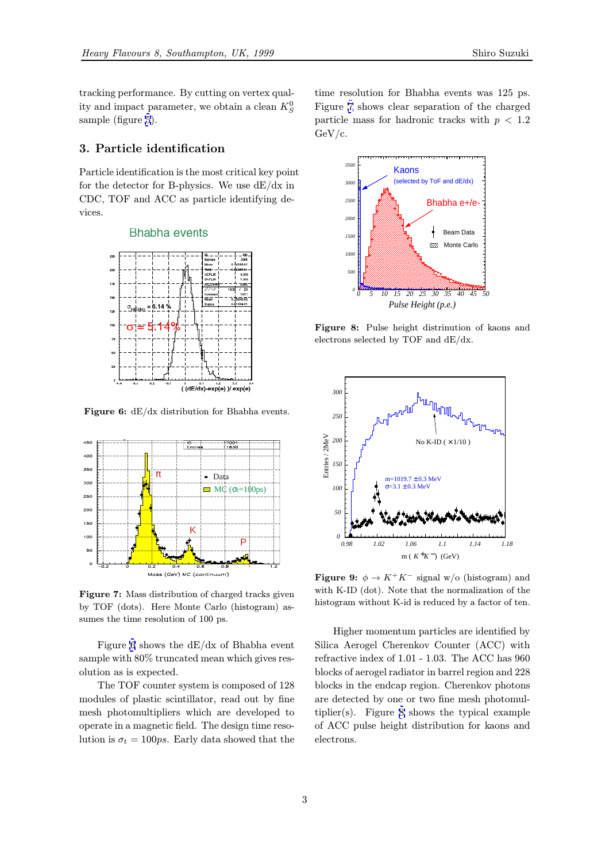<span id="page-2-0"></span>tracking performance. By cutting on vertex quality and impact parameter, we obtain a clean  $K_S^0$ sample (figure 5).

# 3. Particle identification

Particle identi[fic](#page-1-0)ation is the most critical key point for the detector for B-physics. We use  $dE/dx$  in CDC, TOF and ACC as particle identifying devices.

## **Bhabha events**



Figure 6:  $dE/dx$  distribution for Bhabha events.



Figure 7: Mass distribution of charged tracks given by TOF (dots). Here Monte Carlo (histogram) assumes the time resolution of 100 ps.

Figure 6 shows the dE/dx of Bhabha event sample with 80% truncated mean which gives resolution as is expected.

The TOF counter system is composed of 128 modules of plastic scintillator, read out by fine mesh photomultipliers which are developed to operate in a magnetic field. The design time resolution is  $\sigma_t = 100 \text{ps}$ . Early data showed that the

time resolution for Bhabha events was 125 ps. Figure 7 shows clear separation of the charged particle mass for hadronic tracks with  $p < 1.2$ GeV/c.



Figure 8: Pulse height distrinution of kaons and electrons selected by TOF and dE/dx.



**Figure 9:**  $\phi \rightarrow K^+K^-$  signal w/o (histogram) and with K-ID (dot). Note that the normalization of the histogram without K-id is reduced by a factor of ten.

Higher momentum particles are identified by Silica Aerogel Cherenkov Counter (ACC) with refractive index of 1.01 - 1.03. The ACC has 960 blocks of aerogel radiator in barrel region and 228 blocks in the endcap region. Cherenkov photons are detected by one or two fine mesh photomultiplier(s). Figure 8 shows the typical example of ACC pulse height distribution for kaons and electrons.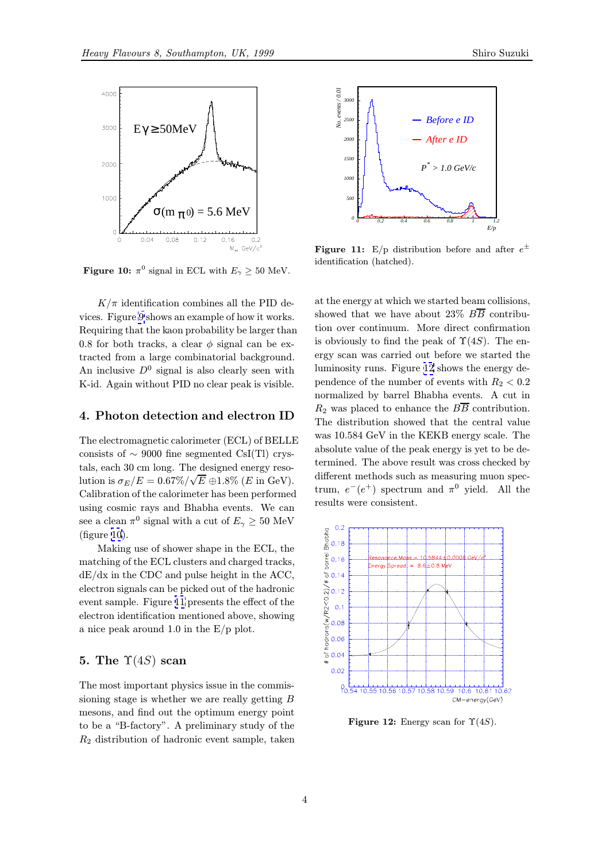

**Figure 10:**  $\pi^0$  signal in ECL with  $E_\gamma \geq 50$  MeV.

 $K/\pi$  identification combines all the PID devices. Figure 9 shows an example of how it works. Requiring that the kaon probability be larger than 0.8 for both tracks, a clear  $\phi$  signal can be extracted from a large combinatorial background. An inclusive  $D^0$  $D^0$  signal is also clearly seen with K-id. Again without PID no clear peak is visible.

#### 4. Photon detection and electron ID

The electromagnetic calorimeter (ECL) of BELLE consists of  $\sim$  9000 fine segmented CsI(Tl) crystals, each 30 cm long. The designed energy resolution is  $\sigma_E/E = 0.67\% / \sqrt{E} \oplus 1.8\%$  (*E* in GeV). Calibration of the calorimeter has been performed using cosmic rays and Bhabha events. We can see a clean  $\pi^0$  signal with a cut of  $E_\gamma \geq 50$  MeV (figure 10).

Making use of shower shape in the ECL, the matching of the ECL clusters and charged tracks, dE/dx in the CDC and pulse height in the ACC, electron signals can be picked out of the hadronic event sample. Figure 11 presents the effect of the electron identification mentioned above, showing a nice peak around 1.0 in the E/p plot.

## 5. The  $\Upsilon(4S)$  scan

The most important physics issue in the commissioning stage is whether we are really getting B mesons, and find out the optimum energy point to be a "B-factory". A preliminary study of the  $R<sub>2</sub>$  distribution of hadronic event sample, taken



**Figure 11:** E/p distribution before and after  $e^{\pm}$ identification (hatched).

at the energy at which we started beam collisions, showed that we have about 23%  $B\overline{B}$  contribution over continuum. More direct confirmation is obviously to find the peak of  $\Upsilon(4S)$ . The energy scan was carried out before we started the luminosity runs. Figure 12 shows the energy dependence of the number of events with  $R_2 < 0.2$ normalized by barrel Bhabha events. A cut in  $R_2$  was placed to enhance the  $B\overline{B}$  contribution. The distribution showed that the central value was 10.584 GeV in the KEKB energy scale. The absolute value of the peak energy is yet to be determined. The above result was cross checked by different methods such as measuring muon spectrum,  $e^-(e^+)$  spectrum and  $\pi^0$  yield. All the results were consistent.



Figure 12: Energy scan for  $\Upsilon(4S)$ .